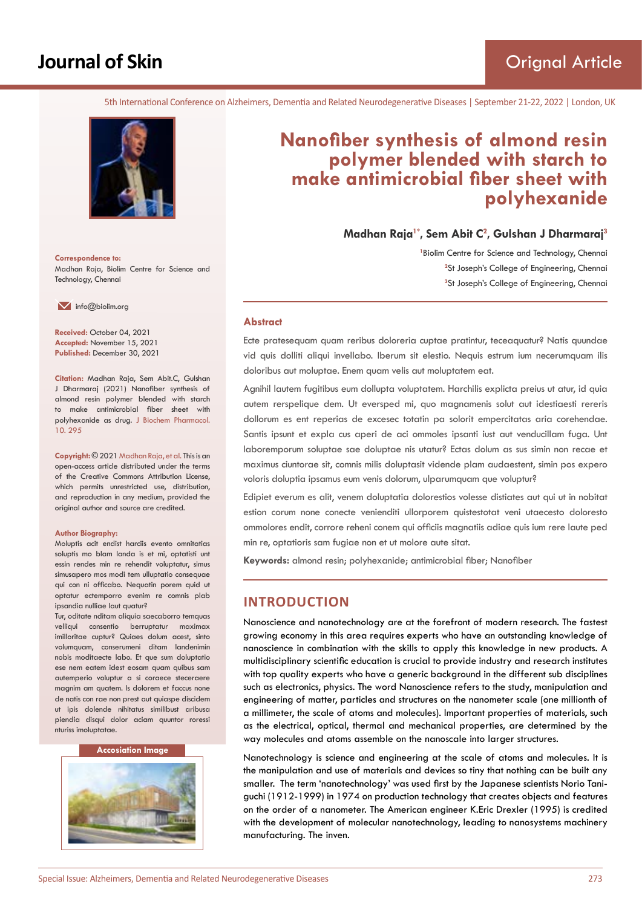# **Journal of Skin**

5th International Conference on Alzheimers, Dementia and Related Neurodegenerative Diseases | September 21-22, 2022 | London, UK



**Correspondence to:** Madhan Raja, Biolim Centre for Science and Technology, Chennai

 $\blacksquare$  info@biolim.org

**Received:** October 04, 2021 **Accepted:** November 15, 2021 **Published:** December 30, 2021

**Citation:** Madhan Raja, Sem Abit.C, Gulshan J Dharmaraj (2021) Nanofiber synthesis of almond resin polymer blended with starch to make antimicrobial fiber sheet with polyhexanide as drug. J Biochem Pharmacol. 10. 295

**Copyright:** © 2021 Madhan Raja, et al. This is an open-access article distributed under the terms of the Creative Commons Attribution License, which permits unrestricted use, distribution, and reproduction in any medium, provided the original author and source are credited.

#### **Author Biography:**

Moluptis acit endist harciis evento omnitatias soluptis mo blam landa is et mi, optatisti unt essin rendes min re rehendit voluptatur, simus simusapero mos modi tem ulluptatio consequae qui con ni officabo. Nequatin porem quid ut optatur ectemporro evenim re comnis plab ipsandia nulliae laut quatur?

Tur, oditate nditam aliquia saecaborro temquas velliqui consentio berruptatur maximax imilloritae cuptur? Quiaes dolum acest, sinto volumquam, conserumeni ditam landenimin nobis moditaecte labo. Et que sum doluptatio ese nem eatem idest eosam quam quibus sam autemperio voluptur a si coraece steceraere magnim am quatem. Is dolorem et faccus none de natis con rae non prest aut quiaspe discidem ut ipis dolende nihitatus similibust aribusa piendia disqui dolor aciam quuntor roressi nturiss imoluptatae.

#### **Accosiation Image**



# **Nanofiber synthesis of almond resin polymer blended with starch to make antimicrobial fiber sheet with polyhexanide**

**Madhan Raja1\*, Sem Abit C<sup>2</sup> , Gulshan J Dharmaraj<sup>3</sup>**

<sup>1</sup> Biolim Centre for Science and Technology, Chennai <sup>2</sup>St Joseph's College of Engineering, Chennai **3** St Joseph's College of Engineering, Chennai

#### **Abstract**

Ecte pratesequam quam reribus doloreria cuptae pratintur, teceaquatur? Natis quundae vid quis dolliti aliqui invellabo. Iberum sit elestio. Nequis estrum ium necerumquam ilis doloribus aut moluptae. Enem quam velis aut moluptatem eat.

Agnihil lautem fugitibus eum dollupta voluptatem. Harchilis explicta preius ut atur, id quia autem rerspelique dem. Ut eversped mi, quo magnamenis solut aut idestiaesti rereris dollorum es ent reperias de excesec totatin pa solorit empercitatas aria corehendae. Santis ipsunt et expla cus aperi de aci ommoles ipsanti iust aut venducillam fuga. Unt laboremporum soluptae sae doluptae nis utatur? Ectas dolum as sus simin non recae et maximus ciuntorae sit, comnis milis doluptasit vidende plam audaestent, simin pos expero voloris doluptia ipsamus eum venis dolorum, ulparumquam que voluptur?

Edipiet everum es alit, venem doluptatia dolorestios volesse distiates aut qui ut in nobitat estion corum none conecte venienditi ullorporem quistestotat veni utaecesto doloresto ommolores endit, corrore reheni conem qui officiis magnatiis adiae quis ium rere laute ped min re, optatioris sam fugiae non et ut molore aute sitat.

**Keywords:** almond resin; polyhexanide; antimicrobial fiber; Nanofiber

## **INTRODUCTION**

Nanoscience and nanotechnology are at the forefront of modern research. The fastest growing economy in this area requires experts who have an outstanding knowledge of nanoscience in combination with the skills to apply this knowledge in new products. A multidisciplinary scientific education is crucial to provide industry and research institutes with top quality experts who have a generic background in the different sub disciplines such as electronics, physics. The word Nanoscience refers to the study, manipulation and engineering of matter, particles and structures on the nanometer scale (one millionth of a millimeter, the scale of atoms and molecules). Important properties of materials, such as the electrical, optical, thermal and mechanical properties, are determined by the way molecules and atoms assemble on the nanoscale into larger structures.

Nanotechnology is science and engineering at the scale of atoms and molecules. It is the manipulation and use of materials and devices so tiny that nothing can be built any smaller. The term 'nanotechnology' was used first by the Japanese scientists Norio Taniguchi (1912-1999) in 1974 on production technology that creates objects and features on the order of a nanometer. The American engineer K.Eric Drexler (1995) is credited with the development of molecular nanotechnology, leading to nanosystems machinery manufacturing. The inven.